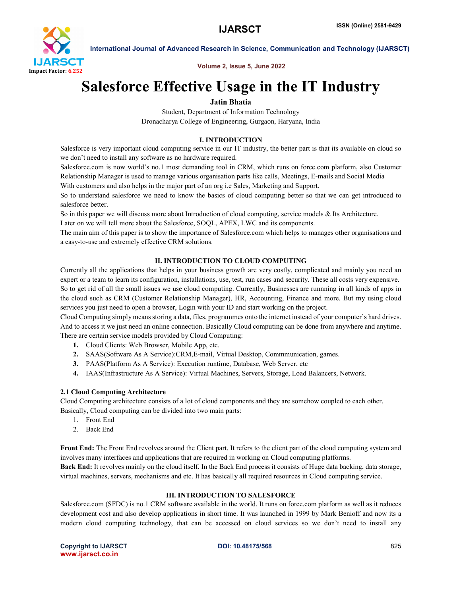

International Journal of Advanced Research in Science, Communication and Technology (IJARSCT)

Volume 2, Issue 5, June 2022

# Salesforce Effective Usage in the IT Industry

# Jatin Bhatia

Student, Department of Information Technology Dronacharya College of Engineering, Gurgaon, Haryana, India

# I. INTRODUCTION

Salesforce is very important cloud computing service in our IT industry, the better part is that its available on cloud so we don't need to install any software as no hardware required.

Salesforce.com is now world's no.1 most demanding tool in CRM, which runs on force.com platform, also Customer Relationship Manager is used to manage various organisation parts like calls, Meetings, E-mails and Social Media With customers and also helps in the major part of an org i.e Sales, Marketing and Support.

So to understand salesforce we need to know the basics of cloud computing better so that we can get introduced to salesforce better.

So in this paper we will discuss more about Introduction of cloud computing, service models & Its Architecture.

Later on we will tell more about the Salesforce, SOQL, APEX, LWC and its components.

The main aim of this paper is to show the importance of Salesforce.com which helps to manages other organisations and a easy-to-use and extremely effective CRM solutions.

# II. INTRODUCTION TO CLOUD COMPUTING

Currently all the applications that helps in your business growth are very costly, complicated and mainly you need an expert or a team to learn its configuration, installations, use, test, run cases and security. These all costs very expensive. So to get rid of all the small issues we use cloud computing. Currently, Businesses are runnning in all kinds of apps in the cloud such as CRM (Customer Relationship Manager), HR, Accounting, Finance and more. But my using cloud services you just need to open a browser, Login with your ID and start working on the project.

Cloud Computing simply means storing a data, files, programmes onto the internet instead of your computer's hard drives. And to access it we just need an online connection. Basically Cloud computing can be done from anywhere and anytime. There are certain service models provided by Cloud Computing:

- 1. Cloud Clients: Web Browser, Mobile App, etc.
- 2. SAAS(Software As A Service):CRM,E-mail, Virtual Desktop, Commmunication, games.
- 3. PAAS(Platform As A Service): Execution runtime, Database, Web Server, etc
- 4. IAAS(Infrastructure As A Service): Virtual Machines, Servers, Storage, Load Balancers, Network.

### 2.1 Cloud Computing Architecture

Cloud Computing architecture consists of a lot of cloud components and they are somehow coupled to each other. Basically, Cloud computing can be divided into two main parts:

- 1. Front End
- 2. Back End

Front End: The Front End revolves around the Client part. It refers to the client part of the cloud computing system and involves many interfaces and applications that are required in working on Cloud computing platforms.

Back End: It revolves mainly on the cloud itself. In the Back End process it consists of Huge data backing, data storage, virtual machines, servers, mechanisms and etc. It has basically all required resources in Cloud computing service.

### III. INTRODUCTION TO SALESFORCE

Salesforce.com (SFDC) is no.1 CRM software available in the world. It runs on force.com platform as well as it reduces development cost and also develop applications in short time. It was launched in 1999 by Mark Benioff and now its a modern cloud computing technology, that can be accessed on cloud services so we don't need to install any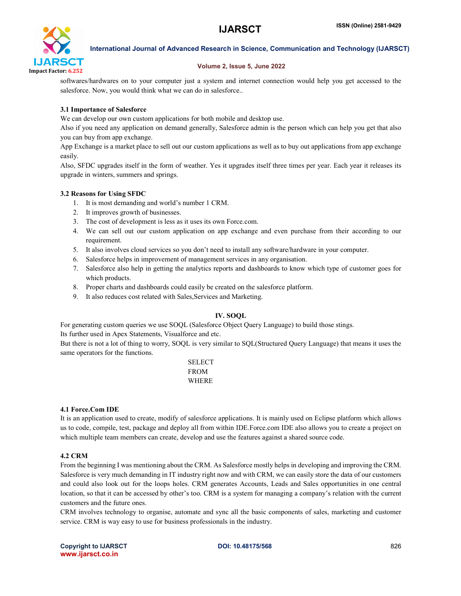

International Journal of Advanced Research in Science, Communication and Technology (IJARSCT)

#### Volume 2, Issue 5, June 2022

softwares/hardwares on to your computer just a system and internet connection would help you get accessed to the salesforce. Now, you would think what we can do in salesforce..

# 3.1 Importance of Salesforce

We can develop our own custom applications for both mobile and desktop use.

Also if you need any application on demand generally, Salesforce admin is the person which can help you get that also you can buy from app exchange.

App Exchange is a market place to sell out our custom applications as well as to buy out applications from app exchange easily.

Also, SFDC upgrades itself in the form of weather. Yes it upgrades itself three times per year. Each year it releases its upgrade in winters, summers and springs.

### 3.2 Reasons for Using SFDC

- 1. It is most demanding and world's number 1 CRM.
- 2. It improves growth of businesses.
- 3. The cost of development is less as it uses its own Force.com.
- 4. We can sell out our custom application on app exchange and even purchase from their according to our requirement.
- 5. It also involves cloud services so you don't need to install any software/hardware in your computer.
- 6. Salesforce helps in improvement of management services in any organisation.
- 7. Salesforce also help in getting the analytics reports and dashboards to know which type of customer goes for which products.
- 8. Proper charts and dashboards could easily be created on the salesforce platform.
- 9. It also reduces cost related with Sales,Services and Marketing.

### IV. SOQL

For generating custom queries we use SOQL (Salesforce Object Query Language) to build those stings. Its further used in Apex Statements, Visualforce and etc.

But there is not a lot of thing to worry, SOQL is very similar to SQL(Structured Query Language) that means it uses the same operators for the functions.

> SELECT FROM WHERE

### 4.1 Force.Com IDE

It is an application used to create, modify of salesforce applications. It is mainly used on Eclipse platform which allows us to code, compile, test, package and deploy all from within IDE.Force.com IDE also allows you to create a project on which multiple team members can create, develop and use the features against a shared source code.

### 4.2 CRM

From the beginning I was mentioning about the CRM. As Salesforce mostly helps in developing and improving the CRM. Salesforce is very much demanding in IT industry right now and with CRM, we can easily store the data of our customers and could also look out for the loops holes. CRM generates Accounts, Leads and Sales opportunities in one central location, so that it can be accessed by other's too. CRM is a system for managing a company's relation with the current customers and the future ones.

CRM involves technology to organise, automate and sync all the basic components of sales, marketing and customer service. CRM is way easy to use for business professionals in the industry.